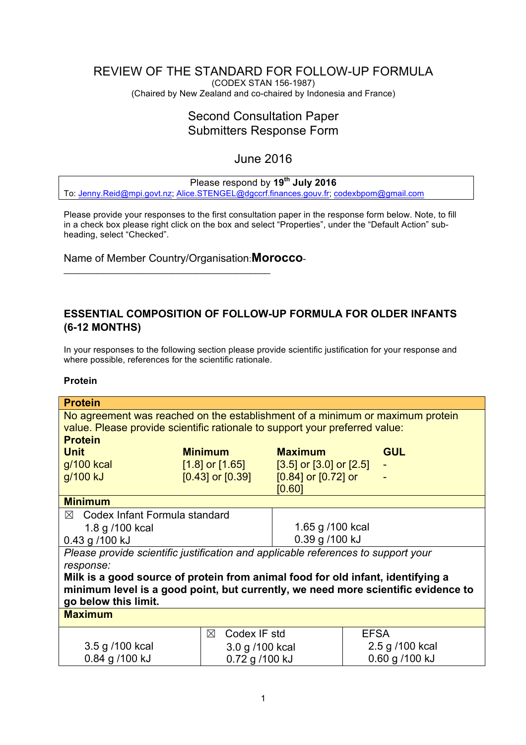# <span id="page-0-0"></span>REVIEW OF THE STANDARD FOR FOLLOW-UP FORMULA

(CODEX STAN 156-1987) (Chaired by New Zealand and co-chaired by Indonesia and France)

# Second Consultation Paper Submitters Response Form

# June 2016

# Please respond by **19th July 2016**

To: [Jenny.Reid@mpi.govt.nz](mailto:Jenny.Reid@mpi.govt.nz); [Alice.STENGEL@dgccrf.finances.gouv.fr](mailto:Alice.STENGEL@dgccrf.finances.gouv.fr); [codexbpom@gmail.com](mailto:codexbpom@gmail.com)

Please provide your responses to the first consultation paper in the response form below. Note, to fill in a check box please right click on the box and select "Properties", under the "Default Action" subheading, select "Checked".

Name of Member Country/Organisation:**Morocco**-

 $\_$  . The contract of the contract of the contract of the contract of the contract of the contract of the contract of the contract of the contract of the contract of the contract of the contract of the contract of the con

## **ESSENTIAL COMPOSITION OF FOLLOW-UP FORMULA FOR OLDER INFANTS (6-12 MONTHS)**

In your responses to the following section please provide scientific justification for your response and where possible, references for the scientific rationale.

#### **Protein**

| <b>Protein</b>                                                                    |                             |                                                   |                 |
|-----------------------------------------------------------------------------------|-----------------------------|---------------------------------------------------|-----------------|
| No agreement was reached on the establishment of a minimum or maximum protein     |                             |                                                   |                 |
| value. Please provide scientific rationale to support your preferred value:       |                             |                                                   |                 |
| <b>Protein</b>                                                                    |                             |                                                   |                 |
| <b>Unit</b>                                                                       | <b>Minimum</b>              | <b>Maximum</b>                                    | <b>GUL</b>      |
| g/100 kcal                                                                        |                             | $[1.8]$ or $[1.65]$ $[3.5]$ or $[3.0]$ or $[2.5]$ |                 |
| g/100 kJ                                                                          | $[0.43]$ or $[0.39]$        | $[0.84]$ or $[0.72]$ or                           |                 |
|                                                                                   |                             | [0.60]                                            |                 |
| <b>Minimum</b>                                                                    |                             |                                                   |                 |
| $\boxtimes$ Codex Infant Formula standard                                         |                             |                                                   |                 |
| 1.8 g /100 kcal                                                                   |                             | 1.65 g /100 kcal                                  |                 |
| 0.39 g /100 kJ<br>0.43 g /100 kJ                                                  |                             |                                                   |                 |
| Please provide scientific justification and applicable references to support your |                             |                                                   |                 |
| response:                                                                         |                             |                                                   |                 |
| Milk is a good source of protein from animal food for old infant, identifying a   |                             |                                                   |                 |
| minimum level is a good point, but currently, we need more scientific evidence to |                             |                                                   |                 |
| go below this limit.                                                              |                             |                                                   |                 |
| <b>Maximum</b>                                                                    |                             |                                                   |                 |
|                                                                                   | Codex IF std<br>$\boxtimes$ |                                                   | <b>EFSA</b>     |
| 3.5 g /100 kcal                                                                   | 3.0 g /100 kcal             |                                                   | 2.5 g /100 kcal |
| 0.84 g /100 kJ                                                                    | 0.72 g /100 kJ              |                                                   | 0.60 g /100 kJ  |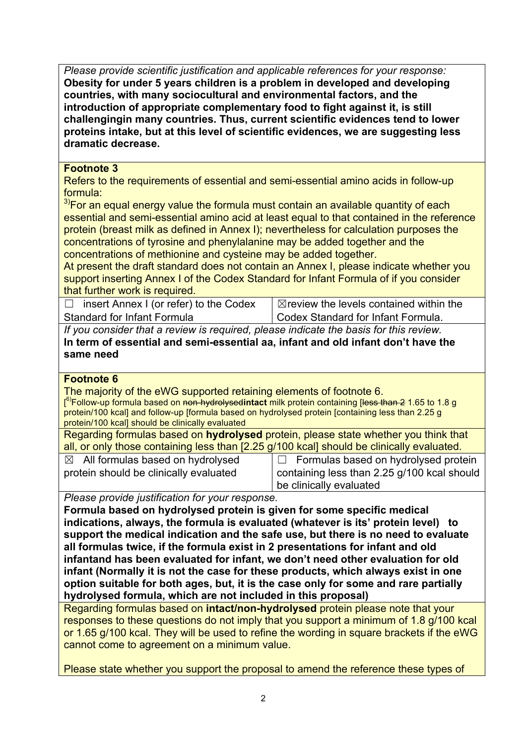*Please provide scientific justification and applicable references for your response:* **Obesity for under 5 years children is a problem in developed and developing countries, with many sociocultural and environmental factors, and the introduction of appropriate complementary food to fight against it, is still challengingin many countries. Thus, current scientific evidences tend to lower proteins intake, but at this level of scientific evidences, we are suggesting less dramatic decrease.**

# **Footnote 3**

Refers to the requirements of essential and semi-essential amino acids in follow-up formula:

 $3$ For an equal energy value the formula must contain an available quantity of each essential and semi-essential amino acid at least equal to that contained in the reference protein (breast milk as defined in Annex I); nevertheless for calculation purposes the concentrations of tyrosine and phenylalanine may be added together and the concentrations of methionine and cysteine may be added together.

At present the draft standard does not contain an Annex I, please indicate whether you support inserting Annex I of the Codex Standard for Infant Formula of if you consider that further work is required.

 $\Box$  insert Annex I (or refer) to the Codex Standard for Infant Formula

 $\boxtimes$  review the levels contained within the Codex Standard for Infant Formula.

*If you consider that a review is required, please indicate the basis for this review.* **In term of essential and semi-essential aa, infant and old infant don't have the same need**

# **Footnote 6**

The majority of the eWG supported retaining elements of footnote 6. [<sup>6)</sup>Follow-up formula based on <del>non-hydrolysed</del>intact milk protein containing [less than 2 1.65 to 1.8 g protein/100 kcall and follow-up [formula based on hydrolysed protein [containing less than 2.25 g] protein/100 kcal] should be clinically evaluated

Regarding formulas based on **hydrolysed** protein, please state whether you think that all, or only those containing less than [2.25 g/100 kcal] should be clinically evaluated.

- $\boxtimes$  All formulas based on hydrolysed protein should be clinically evaluated
- $\Box$  Formulas based on hydrolysed protein containing less than 2.25 g/100 kcal should be clinically evaluated

*Please provide justification for your response.*

**Formula based on hydrolysed protein is given for some specific medical indications, always, the formula is evaluated (whatever is its' protein level) to support the medical indication and the safe use, but there is no need to evaluate all formulas twice, if the formula exist in 2 presentations for infant and old infantand has been evaluated for infant, we don't need other evaluation for old infant (Normally it is not the case for these products, which always exist in one option suitable for both ages, but, it is the case only for some and rare partially hydrolysed formula, which are not included in this proposal)** 

Regarding formulas based on **intact/non-hydrolysed** protein please note that your responses to these questions do not imply that you support a minimum of 1.8 g/100 kcal or 1.65 g/100 kcal. They will be used to refine the wording in square brackets if the eWG cannot come to agreement on a minimum value.

Please state whether you support the proposal to amend the reference these types of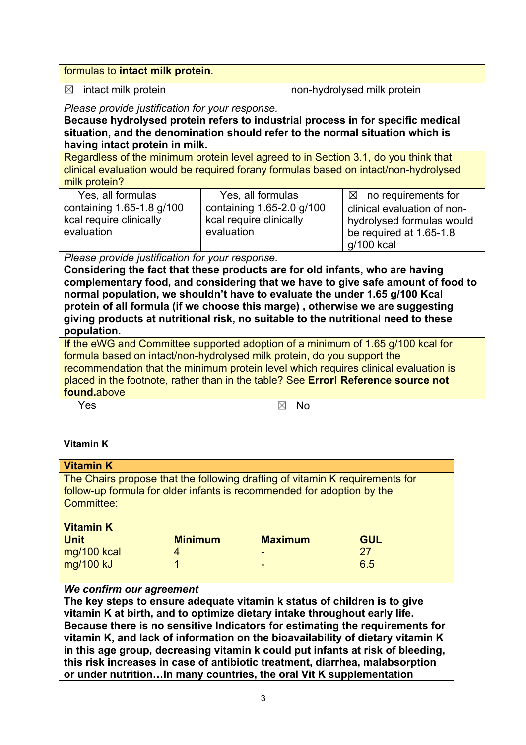| formulas to intact milk protein.                                                                                                                                                                                                                                                                                                                                                                                                                                                      |                                                                                         |                |                                                                                                                                      |  |
|---------------------------------------------------------------------------------------------------------------------------------------------------------------------------------------------------------------------------------------------------------------------------------------------------------------------------------------------------------------------------------------------------------------------------------------------------------------------------------------|-----------------------------------------------------------------------------------------|----------------|--------------------------------------------------------------------------------------------------------------------------------------|--|
| intact milk protein<br>$\boxtimes$                                                                                                                                                                                                                                                                                                                                                                                                                                                    |                                                                                         |                | non-hydrolysed milk protein                                                                                                          |  |
| Please provide justification for your response.<br>Because hydrolysed protein refers to industrial process in for specific medical<br>situation, and the denomination should refer to the normal situation which is<br>having intact protein in milk.                                                                                                                                                                                                                                 |                                                                                         |                |                                                                                                                                      |  |
| Regardless of the minimum protein level agreed to in Section 3.1, do you think that<br>clinical evaluation would be required forany formulas based on intact/non-hydrolysed<br>milk protein?                                                                                                                                                                                                                                                                                          |                                                                                         |                |                                                                                                                                      |  |
| Yes, all formulas<br>containing 1.65-1.8 g/100<br>kcal require clinically<br>evaluation                                                                                                                                                                                                                                                                                                                                                                                               | Yes, all formulas<br>containing 1.65-2.0 g/100<br>kcal require clinically<br>evaluation |                | $\times$<br>no requirements for<br>clinical evaluation of non-<br>hydrolysed formulas would<br>be required at 1.65-1.8<br>g/100 kcal |  |
| Please provide justification for your response.<br>Considering the fact that these products are for old infants, who are having<br>complementary food, and considering that we have to give safe amount of food to<br>normal population, we shouldn't have to evaluate the under 1.65 g/100 Kcal<br>protein of all formula (if we choose this marge), otherwise we are suggesting<br>giving products at nutritional risk, no suitable to the nutritional need to these<br>population. |                                                                                         |                |                                                                                                                                      |  |
| If the eWG and Committee supported adoption of a minimum of 1.65 g/100 kcal for<br>formula based on intact/non-hydrolysed milk protein, do you support the<br>recommendation that the minimum protein level which requires clinical evaluation is<br>placed in the footnote, rather than in the table? See Error! Reference source not<br>found.above                                                                                                                                 |                                                                                         |                |                                                                                                                                      |  |
| Yes                                                                                                                                                                                                                                                                                                                                                                                                                                                                                   |                                                                                         | <b>No</b><br>⊠ |                                                                                                                                      |  |

# **Vitamin K**

| <b>Vitamin K</b>                                                                                                                                                                                                                                                  |                |                |            |
|-------------------------------------------------------------------------------------------------------------------------------------------------------------------------------------------------------------------------------------------------------------------|----------------|----------------|------------|
| The Chairs propose that the following drafting of vitamin K requirements for<br>follow-up formula for older infants is recommended for adoption by the<br>Committee:                                                                                              |                |                |            |
| <b>Vitamin K</b>                                                                                                                                                                                                                                                  |                |                |            |
| <b>Unit</b>                                                                                                                                                                                                                                                       | <b>Minimum</b> | <b>Maximum</b> | <b>GUL</b> |
| mg/100 kcal                                                                                                                                                                                                                                                       | 4              |                | 27         |
| mg/100 kJ                                                                                                                                                                                                                                                         |                |                | 6.5        |
| We confirm our agreement<br>The key steps to ensure adequate vitamin k status of children is to give<br>vitamin K at birth, and to optimize dietary intake throughout early life.<br>Because there is no sensitive Indicators for estimating the requirements for |                |                |            |

**Because there is no sensitive Indicators for estimating the requirements for vitamin K, and lack of information on the bioavailability of dietary vitamin K in this age group, decreasing vitamin k could put infants at risk of bleeding, this risk increases in case of antibiotic treatment, diarrhea, malabsorption or under nutrition…In many countries, the oral Vit K supplementation**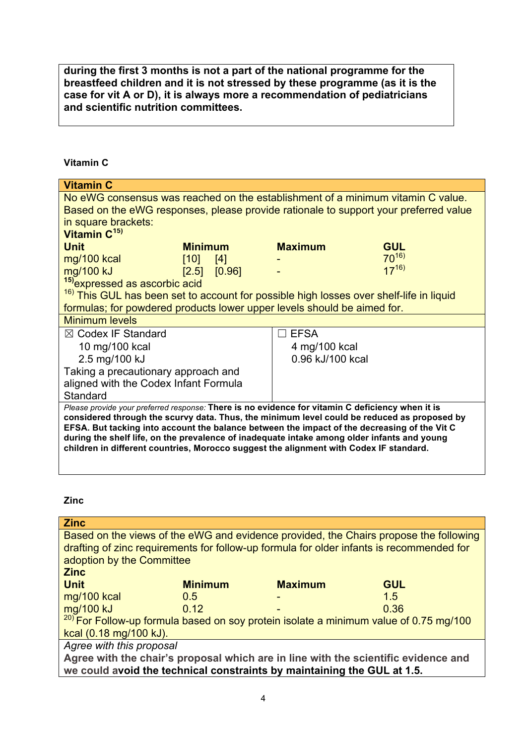**during the first 3 months is not a part of the national programme for the breastfeed children and it is not stressed by these programme (as it is the case for vit A or D), it is always more a recommendation of pediatricians and scientific nutrition committees.** 

## **Vitamin C**

| <b>Vitamin C</b>                                                                                                                                                                            |                  |                                  |            |
|---------------------------------------------------------------------------------------------------------------------------------------------------------------------------------------------|------------------|----------------------------------|------------|
| No eWG consensus was reached on the establishment of a minimum vitamin C value.                                                                                                             |                  |                                  |            |
| Based on the eWG responses, please provide rationale to support your preferred value                                                                                                        |                  |                                  |            |
| in square brackets:                                                                                                                                                                         |                  |                                  |            |
| Vitamin C <sup>15)</sup>                                                                                                                                                                    |                  |                                  |            |
| <b>Unit</b>                                                                                                                                                                                 | <b>Minimum</b>   | <b>Maximum</b>                   | <b>GUL</b> |
| mg/100 kcal                                                                                                                                                                                 | [10]<br>[4]      |                                  | $70^{16}$  |
| mg/100 kJ                                                                                                                                                                                   | $[2.5]$ $[0.96]$ |                                  | $17^{16}$  |
| <sup>15)</sup> expressed as ascorbic acid                                                                                                                                                   |                  |                                  |            |
| <sup>16)</sup> This GUL has been set to account for possible high losses over shelf-life in liquid                                                                                          |                  |                                  |            |
| formulas; for powdered products lower upper levels should be aimed for.                                                                                                                     |                  |                                  |            |
| <b>Minimum levels</b>                                                                                                                                                                       |                  |                                  |            |
| $\boxtimes$ Codex IF Standard                                                                                                                                                               |                  | <b>EFSA</b><br>$\vert \ \ \vert$ |            |
| 10 mg/100 kcal                                                                                                                                                                              |                  | 4 mg/100 kcal                    |            |
| 2.5 mg/100 kJ                                                                                                                                                                               |                  | 0.96 kJ/100 kcal                 |            |
| Taking a precautionary approach and                                                                                                                                                         |                  |                                  |            |
| aligned with the Codex Infant Formula                                                                                                                                                       |                  |                                  |            |
| Standard                                                                                                                                                                                    |                  |                                  |            |
| Please provide your preferred response: There is no evidence for vitamin C deficiency when it is                                                                                            |                  |                                  |            |
| considered through the scurvy data. Thus, the minimum level could be reduced as proposed by                                                                                                 |                  |                                  |            |
| EFSA. But tacking into account the balance between the impact of the decreasing of the Vit C<br>during the shelf life, on the prevalence of inadequate intake among older infants and young |                  |                                  |            |
| children in different countries, Morocco suggest the alignment with Codex IF standard.                                                                                                      |                  |                                  |            |
|                                                                                                                                                                                             |                  |                                  |            |

**Zinc**

| <b>Zinc</b>                                                                            |                |                |                                                                                          |
|----------------------------------------------------------------------------------------|----------------|----------------|------------------------------------------------------------------------------------------|
|                                                                                        |                |                | Based on the views of the eWG and evidence provided, the Chairs propose the following    |
|                                                                                        |                |                | drafting of zinc requirements for follow-up formula for older infants is recommended for |
| adoption by the Committee                                                              |                |                |                                                                                          |
| <b>Zinc</b>                                                                            |                |                |                                                                                          |
| <b>Unit</b>                                                                            | <b>Minimum</b> | <b>Maximum</b> | <b>GUL</b>                                                                               |
| mg/100 kcal                                                                            | 0.5            |                | 1.5                                                                                      |
| mg/100 kJ                                                                              | 0.12           |                | 0.36                                                                                     |
| $20$ For Follow-up formula based on soy protein isolate a minimum value of 0.75 mg/100 |                |                |                                                                                          |
| kcal (0.18 mg/100 kJ).                                                                 |                |                |                                                                                          |
| Agree with this proposal                                                               |                |                |                                                                                          |
| Agree with the chair's proposal which are in line with the scientific evidence and     |                |                |                                                                                          |
| we could avoid the technical constraints by maintaining the GUL at 1.5.                |                |                |                                                                                          |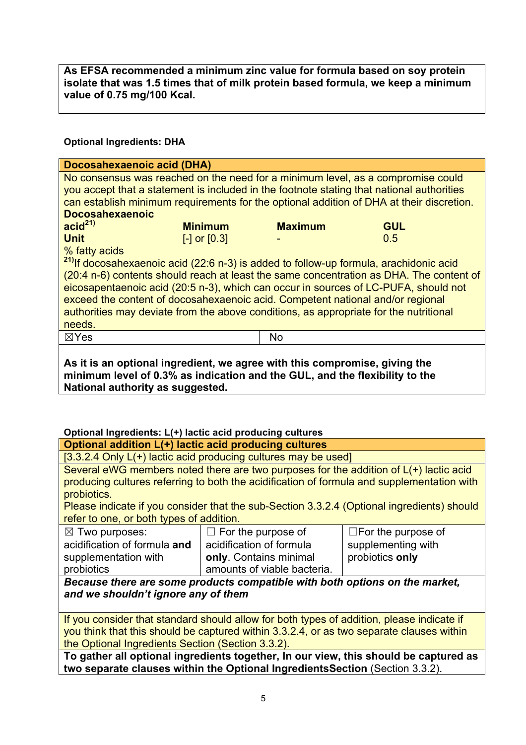**As EFSA recommended a minimum zinc value for formula based on soy protein isolate that was 1.5 times that of milk protein based formula, we keep a minimum value of 0.75 mg/100 Kcal.**

## **Optional Ingredients: DHA**

| Docosahexaenoic acid (DHA)                                                                                                                                                                                                                                                                                                                     |                |                |            |
|------------------------------------------------------------------------------------------------------------------------------------------------------------------------------------------------------------------------------------------------------------------------------------------------------------------------------------------------|----------------|----------------|------------|
| No consensus was reached on the need for a minimum level, as a compromise could<br>you accept that a statement is included in the footnote stating that national authorities<br>can establish minimum requirements for the optional addition of DHA at their discretion.<br><b>Docosahexaenoic</b>                                             |                |                |            |
| accid <sup>21</sup>                                                                                                                                                                                                                                                                                                                            | <b>Minimum</b> | <b>Maximum</b> | <b>GUL</b> |
| <b>Unit</b><br>0.5<br>$[-]$ or $[0.3]$<br>% fatty acids<br><sup>21)</sup> If docosahexaenoic acid (22:6 n-3) is added to follow-up formula, arachidonic acid<br>(20:4 n-6) contents should reach at least the same concentration as DHA. The content of<br>eicosapentaenoic acid (20:5 n-3), which can occur in sources of LC-PUFA, should not |                |                |            |
| exceed the content of docosahexaenoic acid. Competent national and/or regional                                                                                                                                                                                                                                                                 |                |                |            |
| authorities may deviate from the above conditions, as appropriate for the nutritional                                                                                                                                                                                                                                                          |                |                |            |
| needs.                                                                                                                                                                                                                                                                                                                                         |                |                |            |
| $\boxtimes$ Yes                                                                                                                                                                                                                                                                                                                                |                | No             |            |
| As it is an optional ingredient, we agree with this compromise, giving the<br>minimum level of 0.3% as indication and the GUL, and the flexibility to the                                                                                                                                                                                      |                |                |            |

**National authority as suggested.**

# **Optional Ingredients: L(+) lactic acid producing cultures**

#### **Optional addition L(+) lactic acid producing cultures**

[3.3.2.4 Only L(+) lactic acid producing cultures may be used]

Several eWG members noted there are two purposes for the addition of L(+) lactic acid producing cultures referring to both the acidification of formula and supplementation with probiotics.

Please indicate if you consider that the sub-Section 3.3.2.4 (Optional ingredients) should refer to one, or both types of addition.

| $\boxtimes$ Two purposes:    | $\Box$ For the purpose of                                                                                                                                                                                                            | $\Box$ For the purpose of |
|------------------------------|--------------------------------------------------------------------------------------------------------------------------------------------------------------------------------------------------------------------------------------|---------------------------|
| acidification of formula and | acidification of formula                                                                                                                                                                                                             | supplementing with        |
| supplementation with         | only. Contains minimal                                                                                                                                                                                                               | probiotics only           |
| probiotics                   | amounts of viable bacteria.                                                                                                                                                                                                          |                           |
|                              | $\blacksquare$ . The contract of the contract of the contract of the contract of the contract of the contract of the contract of the contract of the contract of the contract of the contract of the contract of the contract of the |                           |

*Because there are some products compatible with both options on the market, and we shouldn't ignore any of them* 

If you consider that standard should allow for both types of addition, please indicate if you think that this should be captured within 3.3.2.4, or as two separate clauses within the Optional Ingredients Section (Section 3.3.2).

**To gather all optional ingredients together, In our view, this should be captured as two separate clauses within the Optional IngredientsSection** (Section 3.3.2).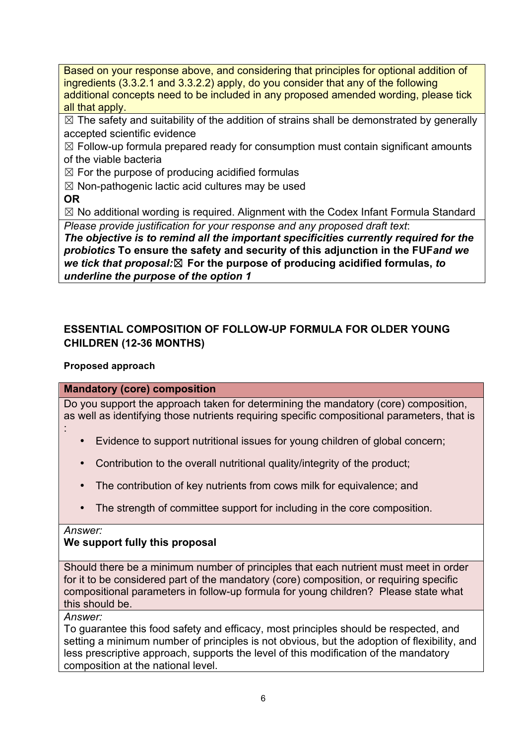Based on your response above, and considering that principles for optional addition of ingredients (3.3.2.1 and 3.3.2.2) apply, do you consider that any of the following additional concepts need to be included in any proposed amended wording, please tick all that apply.

 $\boxtimes$  The safety and suitability of the addition of strains shall be demonstrated by generally accepted scientific evidence

 $\boxtimes$  Follow-up formula prepared ready for consumption must contain significant amounts of the viable bacteria

 $\boxtimes$  For the purpose of producing acidified formulas

 $\boxtimes$  Non-pathogenic lactic acid cultures may be used

**OR**

 $\boxtimes$  No additional wording is required. Alignment with the Codex Infant Formula Standard *Please provide justification for your response and any proposed draft text*:

*The objective is to remind all the important specificities currently required for the probiotics* **To ensure the safety and security of this adjunction in the FUF***and we we tick that proposal:*☒ **For the purpose of producing acidified formulas,** *to underline the purpose of the option 1* 

# **ESSENTIAL COMPOSITION OF FOLLOW-UP FORMULA FOR OLDER YOUNG CHILDREN (12-36 MONTHS)**

# **Proposed approach**

# **Mandatory (core) composition**

Do you support the approach taken for determining the mandatory (core) composition, as well as identifying those nutrients requiring specific compositional parameters, that is :

- Evidence to support nutritional issues for young children of global concern;
- Contribution to the overall nutritional quality/integrity of the product;
- The contribution of key nutrients from cows milk for equivalence; and
- The strength of committee support for including in the core composition.

*Answer:*

# **We support fully this proposal**

Should there be a minimum number of principles that each nutrient must meet in order for it to be considered part of the mandatory (core) composition, or requiring specific compositional parameters in follow-up formula for young children? Please state what this should be.

*Answer:*

To guarantee this food safety and efficacy, most principles should be respected, and setting a minimum number of principles is not obvious, but the adoption of flexibility, and less prescriptive approach, supports the level of this modification of the mandatory composition at the national level.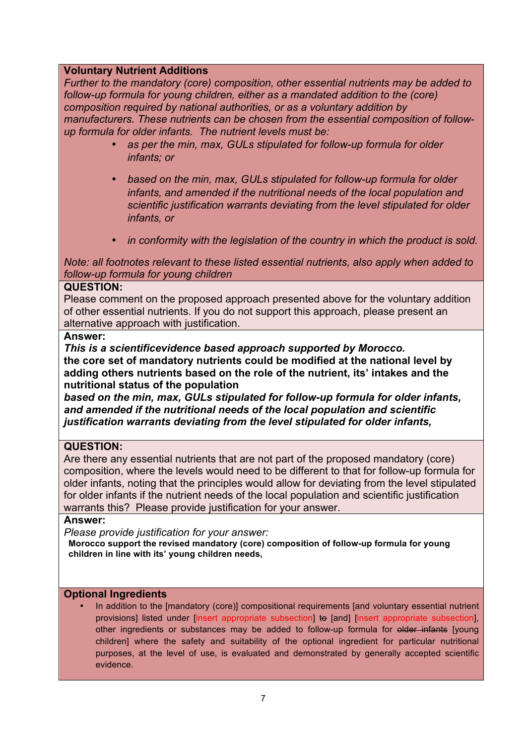## **Voluntary Nutrient Additions**

*Further to the mandatory (core) composition, other essential nutrients may be added to follow-up formula for young children, either as a mandated addition to the (core) composition required by national authorities, or as a voluntary addition by manufacturers. These nutrients can be chosen from the essential composition of followup formula for older infants. The nutrient levels must be:*

- *as per the min, max, GULs stipulated for follow-up formula for older infants; or*
- *based on the min, max, GULs stipulated for follow-up formula for older infants, and amended if the nutritional needs of the local population and scientific justification warrants deviating from the level stipulated for older infants, or*
- *in conformity with the legislation of the country in which the product is sold.*

*Note: all footnotes relevant to these listed essential nutrients, also apply when added to follow-up formula for young children*

#### **QUESTION:**

Please comment on the proposed approach presented above for the voluntary addition of other essential nutrients. If you do not support this approach, please present an alternative approach with justification.

#### **Answer:**

*This is a scientificevidence based approach supported by Morocco.*

**the core set of mandatory nutrients could be modified at the national level by adding others nutrients based on the role of the nutrient, its' intakes and the nutritional status of the population**

*based on the min, max, GULs stipulated for follow-up formula for older infants, and amended if the nutritional needs of the local population and scientific justification warrants deviating from the level stipulated for older infants,*

#### **QUESTION:**

Are there any essential nutrients that are not part of the proposed mandatory (core) composition, where the levels would need to be different to that for follow-up formula for older infants, noting that the principles would allow for deviating from the level stipulated for older infants if the nutrient needs of the local population and scientific justification warrants this? Please provide justification for your answer.

#### **Answer:**

*Please provide justification for your answer:*

**Morocco support the revised mandatory (core) composition of follow-up formula for young children in line with its' young children needs,** 

#### **Optional Ingredients**

In addition to the [mandatory (core)] compositional requirements [and voluntary essential nutrient provisions] listed under [insert appropriate subsection] to [and] [insert appropriate subsection], other ingredients or substances may be added to follow-up formula for elder infants [young children] where the safety and suitability of the optional ingredient for particular nutritional purposes, at the level of use, is evaluated and demonstrated by generally accepted scientific evidence.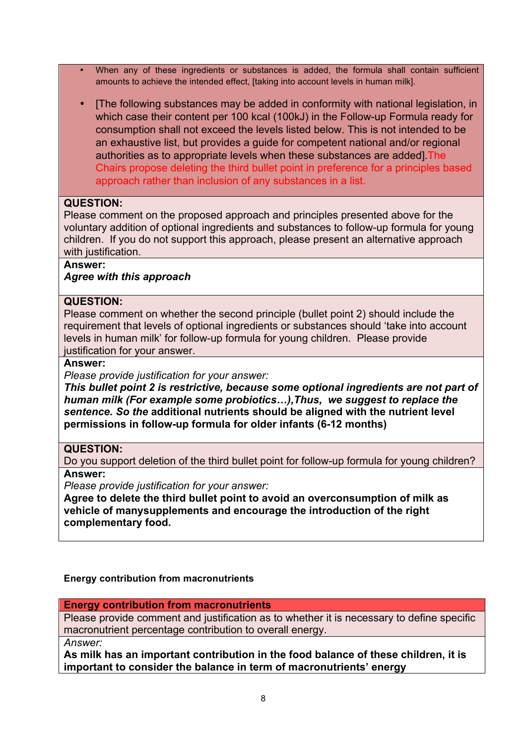- When any of these ingredients or substances is added, the formula shall contain sufficient amounts to achieve the intended effect, [taking into account levels in human milk].
- I The following substances may be added in conformity with national legislation, in which case their content per 100 kcal (100kJ) in the Follow-up Formula ready for consumption shall not exceed the levels listed below. This is not intended to be an exhaustive list, but provides a guide for competent national and/or regional authorities as to appropriate levels when these substances are added].The Chairs propose deleting the third bullet point in preference for a principles based approach rather than inclusion of any substances in a list.

#### **QUESTION:**

Please comment on the proposed approach and principles presented above for the voluntary addition of optional ingredients and substances to follow-up formula for young children. If you do not support this approach, please present an alternative approach with justification.

## **Answer:**

#### *Agree with this approach*

#### **QUESTION:**

Please comment on whether the second principle (bullet point 2) should include the requirement that levels of optional ingredients or substances should 'take into account levels in human milk' for follow-up formula for young children. Please provide justification for your answer.

#### **Answer:**

*Please provide justification for your answer:*

*This bullet point 2 is restrictive, because some optional ingredients are not part of human milk (For example some probiotics…),Thus, we suggest to replace the sentence. So the* **additional nutrients should be aligned with the nutrient level permissions in follow-up formula for older infants (6-12 months)**

#### **QUESTION:**

Do you support deletion of the third bullet point for follow-up formula for young children? **Answer:**

*Please provide justification for your answer:*

**Agree to delete the third bullet point to avoid an overconsumption of milk as vehicle of manysupplements and encourage the introduction of the right complementary food.**

#### **Energy contribution from macronutrients**

**Energy contribution from macronutrients**

Please provide comment and justification as to whether it is necessary to define specific macronutrient percentage contribution to overall energy.

*Answer:*

**As milk has an important contribution in the food balance of these children, it is important to consider the balance in term of macronutrients' energy**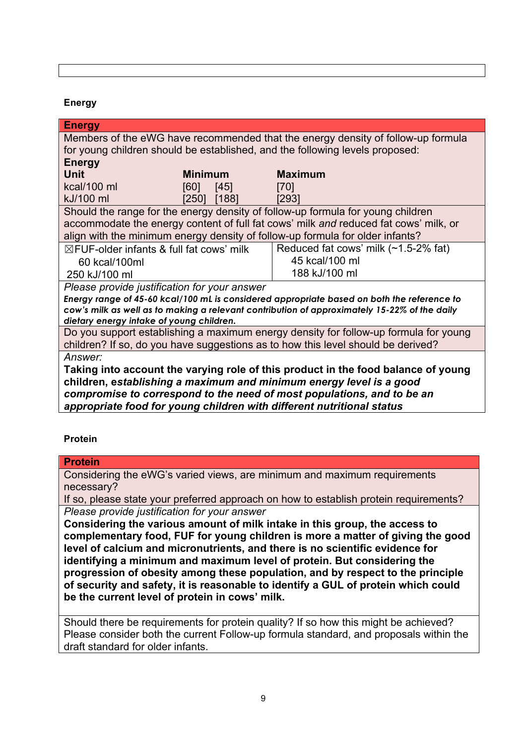#### **Energy**

| <b>Energy</b>                                                                                |                |                                                                                      |
|----------------------------------------------------------------------------------------------|----------------|--------------------------------------------------------------------------------------|
| Members of the eWG have recommended that the energy density of follow-up formula             |                |                                                                                      |
|                                                                                              |                | for young children should be established, and the following levels proposed:         |
| <b>Energy</b>                                                                                |                |                                                                                      |
| <b>Unit</b>                                                                                  | <b>Minimum</b> | <b>Maximum</b>                                                                       |
| kcal/100 ml                                                                                  | [60]<br>[45]   | [70]                                                                                 |
| kJ/100 ml                                                                                    | [250]<br>[188] | [293]                                                                                |
|                                                                                              |                | Should the range for the energy density of follow-up formula for young children      |
|                                                                                              |                | accommodate the energy content of full fat cows' milk and reduced fat cows' milk, or |
|                                                                                              |                | align with the minimum energy density of follow-up formula for older infants?        |
| $\boxtimes$ FUF-older infants & full fat cows' milk                                          |                | Reduced fat cows' milk (~1.5-2% fat)                                                 |
| 60 kcal/100ml                                                                                |                | 45 kcal/100 ml                                                                       |
| 250 kJ/100 ml                                                                                |                | 188 kJ/100 ml                                                                        |
| Please provide justification for your answer                                                 |                |                                                                                      |
| Energy range of 45-60 kcal/100 mL is considered appropriate based on both the reference to   |                |                                                                                      |
| cow's milk as well as to making a relevant contribution of approximately 15-22% of the daily |                |                                                                                      |
| dietary energy intake of young children.                                                     |                |                                                                                      |
| Do you support establishing a maximum energy density for follow-up formula for young         |                |                                                                                      |
| children? If so, do you have suggestions as to how this level should be derived?             |                |                                                                                      |
| Answer:                                                                                      |                |                                                                                      |
| Taking into account the varying role of this product in the food balance of young            |                |                                                                                      |
| children, establishing a maximum and minimum energy level is a good                          |                |                                                                                      |
| compromise to correspond to the need of most populations, and to be an                       |                |                                                                                      |
| appropriate food for young children with different nutritional status                        |                |                                                                                      |

#### **Protein**

**Protein**

| Considering the eWG's varied views, are minimum and maximum requirements              |
|---------------------------------------------------------------------------------------|
| necessary?                                                                            |
| If so, please state your preferred approach on how to establish protein requirements? |

*Please provide justification for your answer*

**Considering the various amount of milk intake in this group, the access to complementary food, FUF for young children is more a matter of giving the good level of calcium and micronutrients, and there is no scientific evidence for identifying a minimum and maximum level of protein. But considering the progression of obesity among these population, and by respect to the principle of security and safety, it is reasonable to identify a GUL of protein which could be the current level of protein in cows' milk.**

Should there be requirements for protein quality? If so how this might be achieved? Please consider both the current Follow-up formula standard, and proposals within the draft standard for older infants.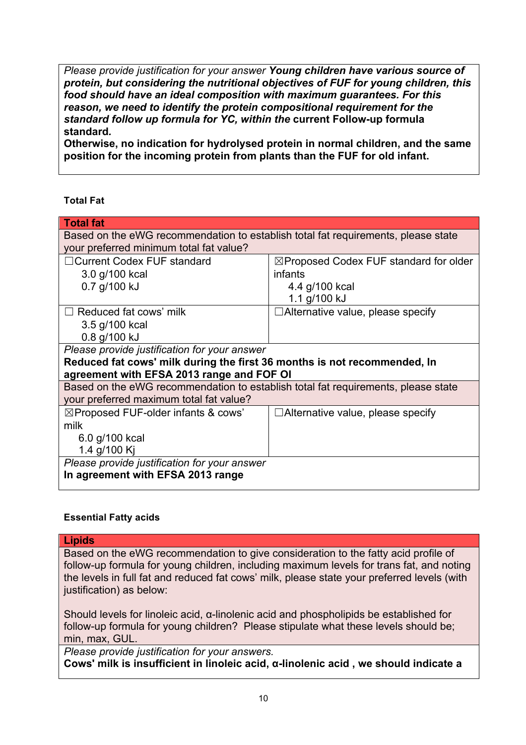*Please provide justification for your answer Young children have various source of protein, but considering the nutritional objectives of FUF for young children, this food should have an ideal composition with maximum guarantees. For this reason, we need to identify the protein compositional requirement for the standard follow up formula for YC, within the* **current Follow-up formula standard***.* 

**Otherwise, no indication for hydrolysed protein in normal children, and the same position for the incoming protein from plants than the FUF for old infant.** 

#### **Total Fat**

| <b>Total fat</b>                                                                  |                                                   |  |
|-----------------------------------------------------------------------------------|---------------------------------------------------|--|
| Based on the eWG recommendation to establish total fat requirements, please state |                                                   |  |
| your preferred minimum total fat value?                                           |                                                   |  |
| □ Current Codex FUF standard                                                      | $\boxtimes$ Proposed Codex FUF standard for older |  |
| 3.0 g/100 kcal                                                                    | infants                                           |  |
| 0.7 g/100 kJ                                                                      | 4.4 g/100 kcal                                    |  |
|                                                                                   | 1.1 g/100 kJ                                      |  |
| $\Box$ Reduced fat cows' milk                                                     | $\Box$ Alternative value, please specify          |  |
| 3.5 g/100 kcal                                                                    |                                                   |  |
| 0.8 g/100 kJ                                                                      |                                                   |  |
| Please provide justification for your answer                                      |                                                   |  |
| Reduced fat cows' milk during the first 36 months is not recommended, In          |                                                   |  |
| agreement with EFSA 2013 range and FOF OI                                         |                                                   |  |
| Based on the eWG recommendation to establish total fat requirements, please state |                                                   |  |
| your preferred maximum total fat value?                                           |                                                   |  |
| $\boxtimes$ Proposed FUF-older infants & cows'                                    | $\Box$ Alternative value, please specify          |  |
| milk                                                                              |                                                   |  |
| 6.0 g/100 kcal                                                                    |                                                   |  |
| 1.4 g/100 Kj                                                                      |                                                   |  |
| Please provide justification for your answer                                      |                                                   |  |
| In agreement with EFSA 2013 range                                                 |                                                   |  |
|                                                                                   |                                                   |  |

#### **Essential Fatty acids**

#### **Lipids**

Based on the eWG recommendation to give consideration to the fatty acid profile of follow-up formula for young children, including maximum levels for trans fat, and noting the levels in full fat and reduced fat cows' milk, please state your preferred levels (with justification) as below:

Should levels for linoleic acid, α-linolenic acid and phospholipids be established for follow-up formula for young children? Please stipulate what these levels should be; min, max, GUL.

*Please provide justification for your answers.*

**Cows' milk is insufficient in linoleic acid, α-linolenic acid , we should indicate a**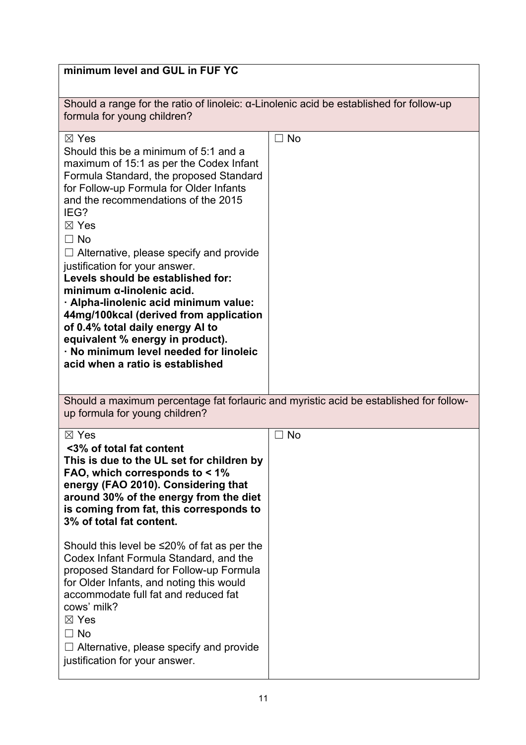| minimum level and GUL in FUF YC                                                                                                                                                                                                                                                                                                                                                                                                                                                                                                                                                                                                                                                 |                |  |
|---------------------------------------------------------------------------------------------------------------------------------------------------------------------------------------------------------------------------------------------------------------------------------------------------------------------------------------------------------------------------------------------------------------------------------------------------------------------------------------------------------------------------------------------------------------------------------------------------------------------------------------------------------------------------------|----------------|--|
| Should a range for the ratio of linoleic: $\alpha$ -Linolenic acid be established for follow-up<br>formula for young children?                                                                                                                                                                                                                                                                                                                                                                                                                                                                                                                                                  |                |  |
| $\boxtimes$ Yes<br>Should this be a minimum of 5:1 and a<br>maximum of 15:1 as per the Codex Infant<br>Formula Standard, the proposed Standard<br>for Follow-up Formula for Older Infants<br>and the recommendations of the 2015<br>IEG?<br>$\boxtimes$ Yes<br>$\Box$ No<br>$\Box$ Alternative, please specify and provide<br>justification for your answer.<br>Levels should be established for:<br>minimum $\alpha$ -linolenic acid.<br>· Alpha-linolenic acid minimum value:<br>44mg/100kcal (derived from application<br>of 0.4% total daily energy AI to<br>equivalent % energy in product).<br>· No minimum level needed for linoleic<br>acid when a ratio is established | $\Box$ No      |  |
| Should a maximum percentage fat forlauric and myristic acid be established for follow-<br>up formula for young children?                                                                                                                                                                                                                                                                                                                                                                                                                                                                                                                                                        |                |  |
| $\boxtimes$ Yes<br><3% of total fat content<br>This is due to the UL set for children by<br>FAO, which corresponds to < 1%<br>energy (FAO 2010). Considering that<br>around 30% of the energy from the diet<br>is coming from fat, this corresponds to<br>3% of total fat content.                                                                                                                                                                                                                                                                                                                                                                                              | $\sqsupset$ No |  |
| Should this level be ≤20% of fat as per the<br>Codex Infant Formula Standard, and the<br>proposed Standard for Follow-up Formula<br>for Older Infants, and noting this would<br>accommodate full fat and reduced fat<br>cows' milk?<br>$\boxtimes$ Yes<br>$\Box$ No<br>$\Box$ Alternative, please specify and provide<br>justification for your answer.                                                                                                                                                                                                                                                                                                                         |                |  |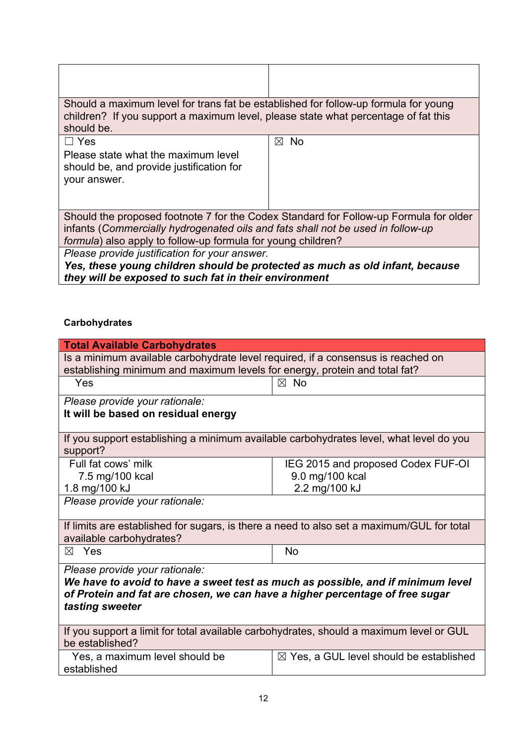| Should a maximum level for trans fat be established for follow-up formula for young<br>children? If you support a maximum level, please state what percentage of fat this<br>should be.                                                  |                |  |
|------------------------------------------------------------------------------------------------------------------------------------------------------------------------------------------------------------------------------------------|----------------|--|
| $\Box$ Yes                                                                                                                                                                                                                               | <b>No</b><br>⊠ |  |
| Please state what the maximum level<br>should be, and provide justification for<br>your answer.                                                                                                                                          |                |  |
| Should the proposed footnote 7 for the Codex Standard for Follow-up Formula for older<br>infants (Commercially hydrogenated oils and fats shall not be used in follow-up<br>formula) also apply to follow-up formula for young children? |                |  |
| Please provide justification for your answer.                                                                                                                                                                                            |                |  |
| Yes, these young children should be protected as much as old infant, because                                                                                                                                                             |                |  |

*they will be exposed to such fat in their environment*

# **Carbohydrates**

| <b>Total Available Carbohydrates</b>                                                                                                                                               |                                                    |  |
|------------------------------------------------------------------------------------------------------------------------------------------------------------------------------------|----------------------------------------------------|--|
| Is a minimum available carbohydrate level required, if a consensus is reached on                                                                                                   |                                                    |  |
| establishing minimum and maximum levels for energy, protein and total fat?                                                                                                         |                                                    |  |
| Yes                                                                                                                                                                                | $\boxtimes$ No                                     |  |
| Please provide your rationale:                                                                                                                                                     |                                                    |  |
| It will be based on residual energy                                                                                                                                                |                                                    |  |
| If you support establishing a minimum available carbohydrates level, what level do you<br>support?                                                                                 |                                                    |  |
| Full fat cows' milk                                                                                                                                                                | IEG 2015 and proposed Codex FUF-OI                 |  |
| 7.5 mg/100 kcal                                                                                                                                                                    | 9.0 mg/100 kcal                                    |  |
| 1.8 mg/100 kJ                                                                                                                                                                      | 2.2 mg/100 kJ                                      |  |
| Please provide your rationale:                                                                                                                                                     |                                                    |  |
| If limits are established for sugars, is there a need to also set a maximum/GUL for total                                                                                          |                                                    |  |
| available carbohydrates?                                                                                                                                                           |                                                    |  |
| $\boxtimes$ Yes                                                                                                                                                                    | <b>No</b>                                          |  |
| Please provide your rationale:                                                                                                                                                     |                                                    |  |
| We have to avoid to have a sweet test as much as possible, and if minimum level<br>of Protein and fat are chosen, we can have a higher percentage of free sugar<br>tasting sweeter |                                                    |  |
|                                                                                                                                                                                    |                                                    |  |
| If you support a limit for total available carbohydrates, should a maximum level or GUL<br>be established?                                                                         |                                                    |  |
| Yes, a maximum level should be<br>established                                                                                                                                      | $\boxtimes$ Yes, a GUL level should be established |  |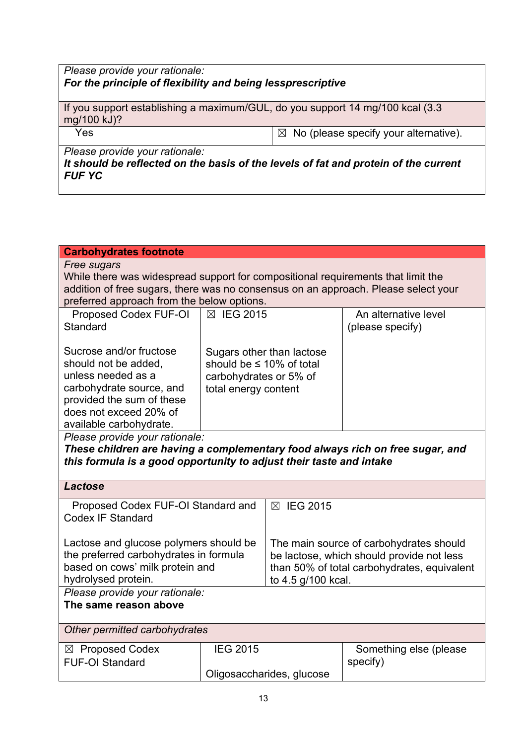# *Please provide your rationale: For the principle of flexibility and being lessprescriptive*

If you support establishing a maximum/GUL, do you support 14 mg/100 kcal (3.3 mg/100 kJ)?

 $Yes$   $\boxtimes$  No (please specify your alternative).

*Please provide your rationale:*

*It should be reflected on the basis of the levels of fat and protein of the current FUF YC*

| <b>Carbohydrates footnote</b>                                                      |                                |                                                                                          |                         |
|------------------------------------------------------------------------------------|--------------------------------|------------------------------------------------------------------------------------------|-------------------------|
| Free sugars                                                                        |                                |                                                                                          |                         |
| While there was widespread support for compositional requirements that limit the   |                                |                                                                                          |                         |
| addition of free sugars, there was no consensus on an approach. Please select your |                                |                                                                                          |                         |
| preferred approach from the below options.                                         |                                |                                                                                          |                         |
| Proposed Codex FUF-OI                                                              | ⊠ IEG 2015                     |                                                                                          | An alternative level    |
| Standard                                                                           |                                |                                                                                          | (please specify)        |
|                                                                                    |                                |                                                                                          |                         |
| Sucrose and/or fructose                                                            |                                |                                                                                          |                         |
|                                                                                    |                                | Sugars other than lactose                                                                |                         |
| should not be added.                                                               | should be $\leq 10\%$ of total |                                                                                          |                         |
| unless needed as a                                                                 | carbohydrates or 5% of         |                                                                                          |                         |
| carbohydrate source, and                                                           | total energy content           |                                                                                          |                         |
| provided the sum of these                                                          |                                |                                                                                          |                         |
| does not exceed 20% of                                                             |                                |                                                                                          |                         |
| available carbohydrate.                                                            |                                |                                                                                          |                         |
| Please provide your rationale:                                                     |                                |                                                                                          |                         |
| These children are having a complementary food always rich on free sugar, and      |                                |                                                                                          |                         |
| this formula is a good opportunity to adjust their taste and intake                |                                |                                                                                          |                         |
|                                                                                    |                                |                                                                                          |                         |
| <b>Lactose</b>                                                                     |                                |                                                                                          |                         |
| Proposed Codex FUF-OI Standard and                                                 |                                | ⊠ IEG 2015                                                                               |                         |
| <b>Codex IF Standard</b>                                                           |                                |                                                                                          |                         |
|                                                                                    |                                |                                                                                          |                         |
| Lactose and glucose polymers should be<br>The main source of carbohydrates should  |                                |                                                                                          |                         |
|                                                                                    |                                |                                                                                          |                         |
| the preferred carbohydrates in formula                                             |                                | be lactose, which should provide not less<br>than 50% of total carbohydrates, equivalent |                         |
| based on cows' milk protein and                                                    |                                |                                                                                          |                         |
| hydrolysed protein.<br>to 4.5 g/100 kcal.                                          |                                |                                                                                          |                         |
| Please provide your rationale:                                                     |                                |                                                                                          |                         |
| The same reason above                                                              |                                |                                                                                          |                         |
|                                                                                    |                                |                                                                                          |                         |
| Other permitted carbohydrates                                                      |                                |                                                                                          |                         |
| $\boxtimes$ Proposed Codex                                                         | <b>IEG 2015</b>                |                                                                                          | Something else (please) |
| <b>FUF-OI Standard</b>                                                             |                                |                                                                                          | specify)                |
|                                                                                    | Oligosaccharides, glucose      |                                                                                          |                         |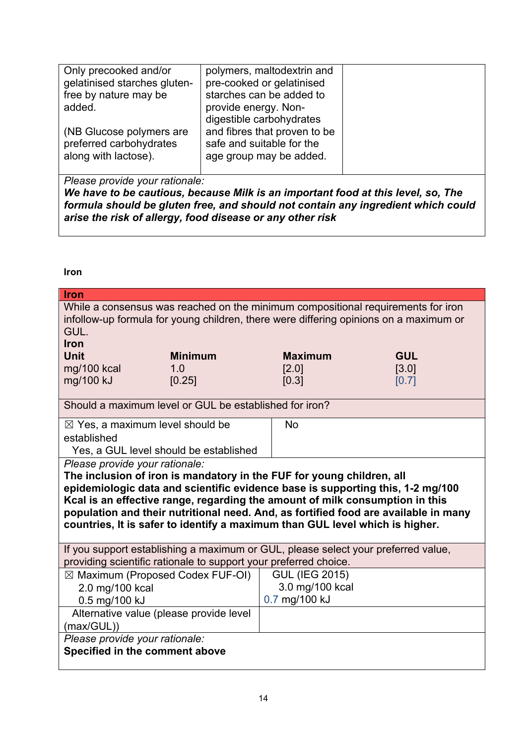| Only precooked and/or        | polymers, maltodextrin and   |  |
|------------------------------|------------------------------|--|
| gelatinised starches gluten- | pre-cooked or gelatinised    |  |
| free by nature may be        | starches can be added to     |  |
| added.                       | provide energy. Non-         |  |
|                              | digestible carbohydrates     |  |
| (NB Glucose polymers are     | and fibres that proven to be |  |
| preferred carbohydrates      | safe and suitable for the    |  |
| along with lactose).         | age group may be added.      |  |
|                              |                              |  |

*Please provide your rationale:*

*We have to be cautious, because Milk is an important food at this level, so, The formula should be gluten free, and should not contain any ingredient which could arise the risk of allergy, food disease or any other risk* 

**Iron**

| <b>Iron</b>                                                                                                                                                                                                                                                                                                                                                                                                                                      |                |                       |            |
|--------------------------------------------------------------------------------------------------------------------------------------------------------------------------------------------------------------------------------------------------------------------------------------------------------------------------------------------------------------------------------------------------------------------------------------------------|----------------|-----------------------|------------|
| While a consensus was reached on the minimum compositional requirements for iron<br>infollow-up formula for young children, there were differing opinions on a maximum or<br>GUL.<br><b>Iron</b>                                                                                                                                                                                                                                                 |                |                       |            |
| <b>Unit</b>                                                                                                                                                                                                                                                                                                                                                                                                                                      | <b>Minimum</b> | <b>Maximum</b>        | <b>GUL</b> |
| mg/100 kcal                                                                                                                                                                                                                                                                                                                                                                                                                                      | 1.0            | [2.0]                 | [3.0]      |
| mg/100 kJ                                                                                                                                                                                                                                                                                                                                                                                                                                        | [0.25]         | [0.3]                 | [0.7]      |
| Should a maximum level or GUL be established for iron?                                                                                                                                                                                                                                                                                                                                                                                           |                |                       |            |
| $\boxtimes$ Yes, a maximum level should be                                                                                                                                                                                                                                                                                                                                                                                                       |                | <b>No</b>             |            |
| established                                                                                                                                                                                                                                                                                                                                                                                                                                      |                |                       |            |
| Yes, a GUL level should be established                                                                                                                                                                                                                                                                                                                                                                                                           |                |                       |            |
| Please provide your rationale:<br>The inclusion of iron is mandatory in the FUF for young children, all<br>epidemiologic data and scientific evidence base is supporting this, 1-2 mg/100<br>Kcal is an effective range, regarding the amount of milk consumption in this<br>population and their nutritional need. And, as fortified food are available in many<br>countries, It is safer to identify a maximum than GUL level which is higher. |                |                       |            |
| If you support establishing a maximum or GUL, please select your preferred value,<br>providing scientific rationale to support your preferred choice.                                                                                                                                                                                                                                                                                            |                |                       |            |
| $\boxtimes$ Maximum (Proposed Codex FUF-OI)                                                                                                                                                                                                                                                                                                                                                                                                      |                | <b>GUL (IEG 2015)</b> |            |
| 2.0 mg/100 kcal                                                                                                                                                                                                                                                                                                                                                                                                                                  |                | 3.0 mg/100 kcal       |            |
| 0.5 mg/100 kJ                                                                                                                                                                                                                                                                                                                                                                                                                                    |                | 0.7 mg/100 kJ         |            |
| Alternative value (please provide level                                                                                                                                                                                                                                                                                                                                                                                                          |                |                       |            |
| (max/GUL))                                                                                                                                                                                                                                                                                                                                                                                                                                       |                |                       |            |
| Please provide your rationale:                                                                                                                                                                                                                                                                                                                                                                                                                   |                |                       |            |
| Specified in the comment above                                                                                                                                                                                                                                                                                                                                                                                                                   |                |                       |            |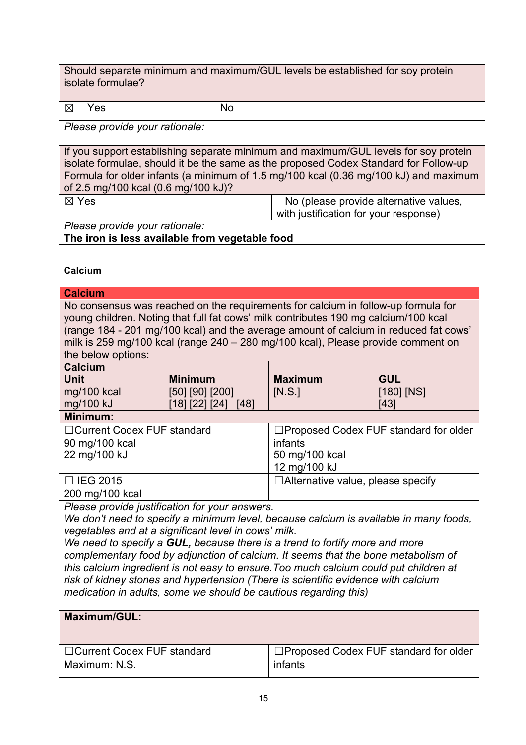Should separate minimum and maximum/GUL levels be established for soy protein isolate formulae?

| Yes                                                                                                                                                                                                                                                                                                        | No.                                                                             |  |
|------------------------------------------------------------------------------------------------------------------------------------------------------------------------------------------------------------------------------------------------------------------------------------------------------------|---------------------------------------------------------------------------------|--|
| Please provide your rationale:                                                                                                                                                                                                                                                                             |                                                                                 |  |
| If you support establishing separate minimum and maximum/GUL levels for soy protein<br>isolate formulae, should it be the same as the proposed Codex Standard for Follow-up<br>Formula for older infants (a minimum of 1.5 mg/100 kcal (0.36 mg/100 kJ) and maximum<br>of 2.5 mg/100 kcal (0.6 mg/100 kJ)? |                                                                                 |  |
| $\boxtimes$ Yes                                                                                                                                                                                                                                                                                            | No (please provide alternative values,<br>with justification for your response) |  |
| Please provide your rationale:                                                                                                                                                                                                                                                                             |                                                                                 |  |

**The iron is less available from vegetable food** 

#### **Calcium**

| <b>Calcium</b>                                                                        |                                                |                                                                                      |                              |
|---------------------------------------------------------------------------------------|------------------------------------------------|--------------------------------------------------------------------------------------|------------------------------|
| No consensus was reached on the requirements for calcium in follow-up formula for     |                                                |                                                                                      |                              |
|                                                                                       |                                                | young children. Noting that full fat cows' milk contributes 190 mg calcium/100 kcal  |                              |
|                                                                                       |                                                | (range 184 - 201 mg/100 kcal) and the average amount of calcium in reduced fat cows' |                              |
|                                                                                       |                                                | milk is 259 mg/100 kcal (range 240 - 280 mg/100 kcal), Please provide comment on     |                              |
| the below options:<br><b>Calcium</b>                                                  |                                                |                                                                                      |                              |
| <b>Unit</b>                                                                           |                                                | <b>Maximum</b>                                                                       |                              |
| mg/100 kcal                                                                           | <b>Minimum</b><br>[50] [90] [200]              | [N.S.]                                                                               | <b>GUL</b><br>$[180]$ $[NS]$ |
| mg/100 kJ                                                                             | [18] [22] [24] [48]                            |                                                                                      | [43]                         |
| Minimum:                                                                              |                                                |                                                                                      |                              |
| □ Current Codex FUF standard                                                          |                                                | □Proposed Codex FUF standard for older                                               |                              |
| 90 mg/100 kcal                                                                        |                                                | infants                                                                              |                              |
| 22 mg/100 kJ                                                                          |                                                | 50 mg/100 kcal                                                                       |                              |
|                                                                                       |                                                | 12 mg/100 kJ                                                                         |                              |
| $\Box$ IEG 2015                                                                       |                                                | $\Box$ Alternative value, please specify                                             |                              |
| 200 mg/100 kcal                                                                       |                                                |                                                                                      |                              |
|                                                                                       | Please provide justification for your answers. |                                                                                      |                              |
| We don't need to specify a minimum level, because calcium is available in many foods, |                                                |                                                                                      |                              |
| vegetables and at a significant level in cows' milk.                                  |                                                |                                                                                      |                              |
| We need to specify a GUL, because there is a trend to fortify more and more           |                                                |                                                                                      |                              |
| complementary food by adjunction of calcium. It seems that the bone metabolism of     |                                                |                                                                                      |                              |
| this calcium ingredient is not easy to ensure. Too much calcium could put children at |                                                |                                                                                      |                              |
| risk of kidney stones and hypertension (There is scientific evidence with calcium     |                                                |                                                                                      |                              |
| medication in adults, some we should be cautious regarding this)                      |                                                |                                                                                      |                              |
| Maximum/GUL:                                                                          |                                                |                                                                                      |                              |
|                                                                                       |                                                |                                                                                      |                              |
|                                                                                       |                                                |                                                                                      |                              |
| □Current Codex FUF standard                                                           |                                                | □Proposed Codex FUF standard for older                                               |                              |
| Maximum: N.S.                                                                         |                                                | infants                                                                              |                              |
|                                                                                       |                                                |                                                                                      |                              |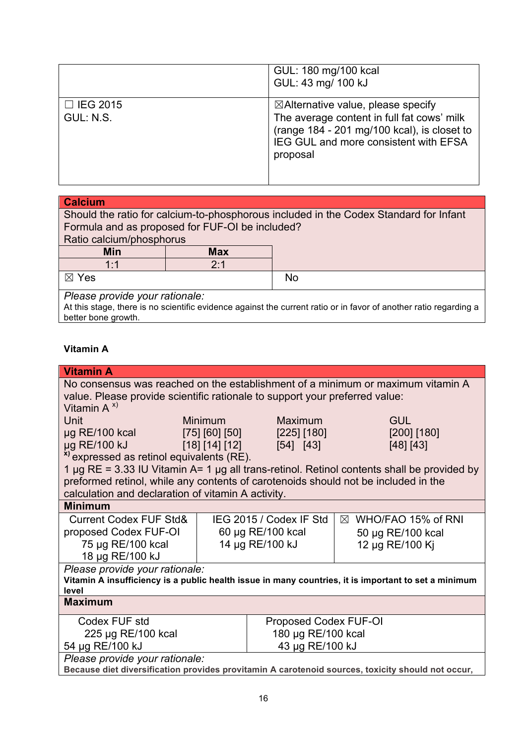|                              | GUL: 180 mg/100 kcal<br>GUL: 43 mg/ 100 kJ                                                                                                                                                      |
|------------------------------|-------------------------------------------------------------------------------------------------------------------------------------------------------------------------------------------------|
| $\Box$ IEG 2015<br>GUL: N.S. | $\boxtimes$ Alternative value, please specify<br>The average content in full fat cows' milk<br>(range 184 - 201 mg/100 kcal), is closet to<br>IEG GUL and more consistent with EFSA<br>proposal |

| <b>Calcium</b>                                                                        |            |           |
|---------------------------------------------------------------------------------------|------------|-----------|
| Should the ratio for calcium-to-phosphorous included in the Codex Standard for Infant |            |           |
| Formula and as proposed for FUF-OI be included?                                       |            |           |
| Ratio calcium/phosphorus                                                              |            |           |
| <b>Min</b>                                                                            | <b>Max</b> |           |
| 1:1                                                                                   | 2:1        |           |
| $\boxtimes$ Yes                                                                       |            | <b>No</b> |
| Please provide your rationale:                                                        |            |           |

At this stage, there is no scientific evidence against the current ratio or in favor of another ratio regarding a better bone growth.

# **Vitamin A**

| <b>Vitamin A</b>                                                                                     |                       |                         |                                                                                                      |
|------------------------------------------------------------------------------------------------------|-----------------------|-------------------------|------------------------------------------------------------------------------------------------------|
| No consensus was reached on the establishment of a minimum or maximum vitamin A                      |                       |                         |                                                                                                      |
| value. Please provide scientific rationale to support your preferred value:                          |                       |                         |                                                                                                      |
| Vitamin $A^{x}$                                                                                      |                       |                         |                                                                                                      |
| Unit                                                                                                 | <b>Minimum</b>        | Maximum                 | <b>GUL</b>                                                                                           |
| $\mu$ g RE/100 kcal                                                                                  | [75] [60] [50]        | [225] [180]             | $[200]$ $[180]$                                                                                      |
| µg RE/100 kJ<br>[18] [14] [12]                                                                       |                       | [54] [43]               | [48] [43]                                                                                            |
| <sup>x)</sup> expressed as retinol equivalents (RE).                                                 |                       |                         |                                                                                                      |
|                                                                                                      |                       |                         | 1 $\mu$ g RE = 3.33 IU Vitamin A= 1 $\mu$ g all trans-retinol. Retinol contents shall be provided by |
| preformed retinol, while any contents of carotenoids should not be included in the                   |                       |                         |                                                                                                      |
| calculation and declaration of vitamin A activity.                                                   |                       |                         |                                                                                                      |
| <b>Minimum</b>                                                                                       |                       |                         |                                                                                                      |
| <b>Current Codex FUF Std&amp;</b>                                                                    |                       | IEG 2015 / Codex IF Std | $\boxtimes$ WHO/FAO 15% of RNI                                                                       |
| proposed Codex FUF-OI                                                                                |                       | 60 µg RE/100 kcal       | 50 µg RE/100 kcal                                                                                    |
| 75 µg RE/100 kcal                                                                                    |                       | 14 µg RE/100 kJ         | 12 µg RE/100 Ki                                                                                      |
| 18 µg RE/100 kJ                                                                                      |                       |                         |                                                                                                      |
| Please provide your rationale:                                                                       |                       |                         |                                                                                                      |
| Vitamin A insufficiency is a public health issue in many countries, it is important to set a minimum |                       |                         |                                                                                                      |
| level<br><b>Maximum</b>                                                                              |                       |                         |                                                                                                      |
|                                                                                                      |                       |                         |                                                                                                      |
| Codex FUF std                                                                                        | Proposed Codex FUF-OI |                         |                                                                                                      |
| 225 µg RE/100 kcal                                                                                   | 180 µg RE/100 kcal    |                         |                                                                                                      |
| 54 µg RE/100 kJ                                                                                      | 43 µg RE/100 kJ       |                         |                                                                                                      |
| Please provide your rationale:                                                                       |                       |                         |                                                                                                      |
| Because diet diversification provides provitamin A carotenoid sources, toxicity should not occur,    |                       |                         |                                                                                                      |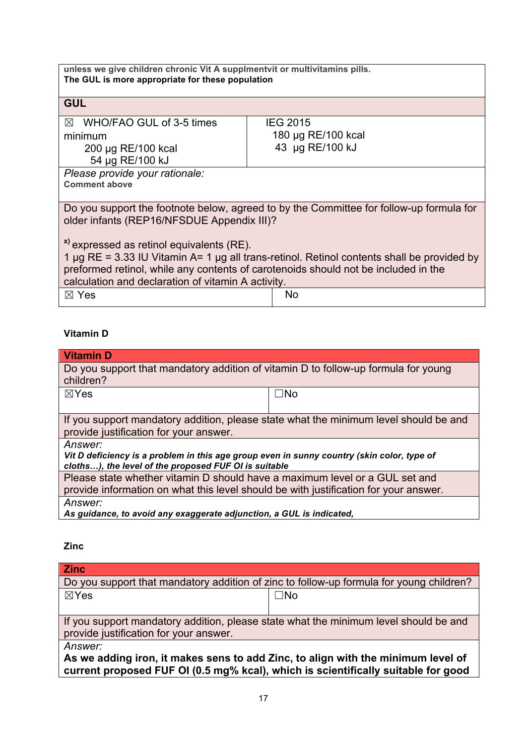| unless we give children chronic Vit A supplmentvit or multivitamins pills.<br>The GUL is more appropriate for these population |                                                                                         |  |
|--------------------------------------------------------------------------------------------------------------------------------|-----------------------------------------------------------------------------------------|--|
| <b>GUL</b>                                                                                                                     |                                                                                         |  |
| WHO/FAO GUL of 3-5 times<br>⊠                                                                                                  | <b>IEG 2015</b>                                                                         |  |
| minimum                                                                                                                        | 180 µg RE/100 kcal                                                                      |  |
| 200 µg RE/100 kcal                                                                                                             | 43 µg RE/100 kJ                                                                         |  |
| 54 µg RE/100 kJ                                                                                                                |                                                                                         |  |
| Please provide your rationale:                                                                                                 |                                                                                         |  |
| <b>Comment above</b>                                                                                                           |                                                                                         |  |
|                                                                                                                                |                                                                                         |  |
|                                                                                                                                | Do you support the footnote below, agreed to by the Committee for follow-up formula for |  |
| older infants (REP16/NFSDUE Appendix III)?                                                                                     |                                                                                         |  |
|                                                                                                                                |                                                                                         |  |
| <sup>x)</sup> expressed as retinol equivalents (RE).                                                                           |                                                                                         |  |
| 1 $\mu$ g RE = 3.33 IU Vitamin A= 1 $\mu$ g all trans-retinol. Retinol contents shall be provided by                           |                                                                                         |  |
| preformed retinol, while any contents of carotenoids should not be included in the                                             |                                                                                         |  |
| calculation and declaration of vitamin A activity.                                                                             |                                                                                         |  |
| $\boxtimes$ Yes                                                                                                                | No                                                                                      |  |
|                                                                                                                                |                                                                                         |  |

# **Vitamin D**

| <b>Vitamin D</b>                                                                                |           |  |
|-------------------------------------------------------------------------------------------------|-----------|--|
| Do you support that mandatory addition of vitamin D to follow-up formula for young<br>children? |           |  |
| $\boxtimes$ Yes                                                                                 | $\Box$ No |  |
|                                                                                                 |           |  |
| If you support mandatory addition, please state what the minimum level should be and            |           |  |
| provide justification for your answer.                                                          |           |  |
| Answer:                                                                                         |           |  |
| Vit D deficiency is a problem in this age group even in sunny country (skin color, type of      |           |  |
| cloths), the level of the proposed FUF OI is suitable                                           |           |  |
| Please state whether vitamin D should have a maximum level or a GUL set and                     |           |  |
| provide information on what this level should be with justification for your answer.            |           |  |
| Answer:                                                                                         |           |  |
| As guidance, to avoid any exaggerate adjunction, a GUL is indicated,                            |           |  |

**Zinc**

| <b>Zinc</b>                                                                                                                                                           |           |  |
|-----------------------------------------------------------------------------------------------------------------------------------------------------------------------|-----------|--|
| Do you support that mandatory addition of zinc to follow-up formula for young children?                                                                               |           |  |
| ⊠Yes                                                                                                                                                                  | $\Box$ No |  |
|                                                                                                                                                                       |           |  |
| If you support mandatory addition, please state what the minimum level should be and<br>provide justification for your answer.                                        |           |  |
| Answer:                                                                                                                                                               |           |  |
| As we adding iron, it makes sens to add Zinc, to align with the minimum level of<br>current proposed FUF OI (0.5 mg% kcal), which is scientifically suitable for good |           |  |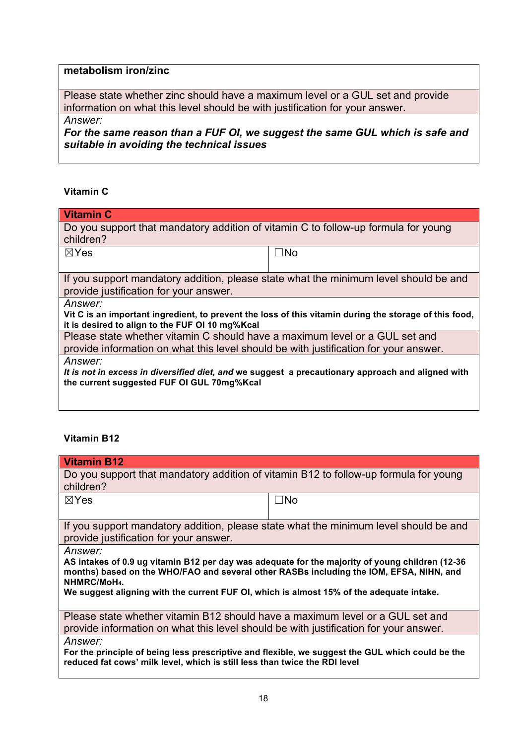# **metabolism iron/zinc**

Please state whether zinc should have a maximum level or a GUL set and provide information on what this level should be with justification for your answer.

*Answer:*

*For the same reason than a FUF OI, we suggest the same GUL which is safe and suitable in avoiding the technical issues* 

## **Vitamin C**

| <b>Vitamin C</b>                                                                                                                                                     |           |  |
|----------------------------------------------------------------------------------------------------------------------------------------------------------------------|-----------|--|
| Do you support that mandatory addition of vitamin C to follow-up formula for young<br>children?                                                                      |           |  |
| $\boxtimes$ Yes                                                                                                                                                      | $\Box$ No |  |
| If you support mandatory addition, please state what the minimum level should be and<br>provide justification for your answer.                                       |           |  |
| Answer:<br>Vit C is an important ingredient, to prevent the loss of this vitamin during the storage of this food,<br>it is desired to align to the FUF OI 10 mg%Kcal |           |  |
| Please state whether vitamin C should have a maximum level or a GUL set and<br>provide information on what this level should be with justification for your answer.  |           |  |
| <i>Answer:</i><br>It is not in excess in diversified diet, and we suggest a precautionary approach and aligned with<br>the current suggested FUF OI GUL 70mg%Kcal    |           |  |

## **Vitamin B12**

| <b>Vitamin B12</b>                                                                                                                                                                                                   |           |  |  |  |
|----------------------------------------------------------------------------------------------------------------------------------------------------------------------------------------------------------------------|-----------|--|--|--|
| Do you support that mandatory addition of vitamin B12 to follow-up formula for young                                                                                                                                 |           |  |  |  |
| children?                                                                                                                                                                                                            |           |  |  |  |
| $\boxtimes$ Yes                                                                                                                                                                                                      | $\Box$ No |  |  |  |
|                                                                                                                                                                                                                      |           |  |  |  |
| If you support mandatory addition, please state what the minimum level should be and                                                                                                                                 |           |  |  |  |
| provide justification for your answer.                                                                                                                                                                               |           |  |  |  |
| <i>Answer:</i>                                                                                                                                                                                                       |           |  |  |  |
| AS intakes of 0.9 ug vitamin B12 per day was adequate for the majority of young children (12-36<br>months) based on the WHO/FAO and several other RASBs including the IOM, EFSA, NIHN, and<br>NHMRC/MoH <sub>4</sub> |           |  |  |  |
| We suggest aligning with the current FUF OI, which is almost 15% of the adequate intake.                                                                                                                             |           |  |  |  |
| Please state whether vitamin B12 should have a maximum level or a GUL set and                                                                                                                                        |           |  |  |  |
| provide information on what this level should be with justification for your answer.                                                                                                                                 |           |  |  |  |
| Answer:                                                                                                                                                                                                              |           |  |  |  |
| For the principle of being less prescriptive and flexible, we suggest the GUL which could be the<br>reduced fat cows' milk level, which is still less than twice the RDI level                                       |           |  |  |  |